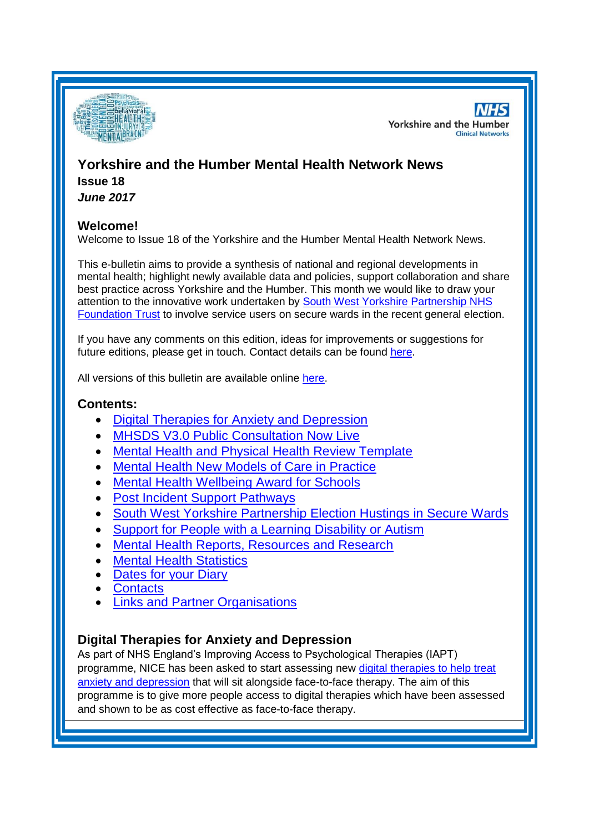

**NHS Yorkshire and the Humber Clinical Networks** 

# **Yorkshire and the Humber Mental Health Network News**

**Issue 18** *June 2017*

# **Welcome!**

Welcome to Issue 18 of the Yorkshire and the Humber Mental Health Network News.

This e-bulletin aims to provide a synthesis of national and regional developments in mental health; highlight newly available data and policies, support collaboration and share best practice across Yorkshire and the Humber. This month we would like to draw your attention to the innovative work undertaken by [South West Yorkshire Partnership NHS](#page-2-0)  [Foundation Trust](#page-2-0) to involve service users on secure wards in the recent general election.

If you have any comments on this edition, ideas for improvements or suggestions for future editions, please get in touch. Contact details can be found [here.](#page-5-0)

All versions of this bulletin are available online [here.](http://www.yhscn.nhs.uk/mental-health-clinic/mental-health-network/MH-documents-and-links.php)

# **Contents:**

- [Digital Therapies for Anxiety and Depression](#page-0-0)
- **[MHSDS V3.0 Public Consultation Now Live](#page-1-0)**
- [Mental Health and Physical Health Review Template](#page-1-1)
- [Mental Health New Models of Care in Practice](#page-1-2)
- [Mental Health Wellbeing Award for Schools](#page-1-3)
- [Post Incident Support Pathways](#page-2-1)
- [South West Yorkshire Partnership Election Hustings](#page-2-0) in Secure Wards
- [Support for People with a Learning Disability or Autism](#page-2-2)
- [Mental Health Reports, Resources and Research](#page-2-3)
- [Mental Health Statistics](#page-3-0)
- [Dates for your](#page-3-1) Diary
- **[Contacts](#page-5-0)**
- **[Links and Partner Organisations](#page-5-1)**

# <span id="page-0-0"></span>**Digital Therapies for Anxiety and Depression**

As part of NHS England's Improving Access to Psychological Therapies (IAPT) programme, NICE has been asked to start assessing new [digital therapies to help treat](https://www.nice.org.uk/news/article/new-programme-will-assess-how-digital-therapies-can-help-treat-anxiety-and-depression)  [anxiety and depression](https://www.nice.org.uk/news/article/new-programme-will-assess-how-digital-therapies-can-help-treat-anxiety-and-depression) that will sit alongside face-to-face therapy. The aim of this programme is to give more people access to digital therapies which have been assessed and shown to be as cost effective as face-to-face therapy.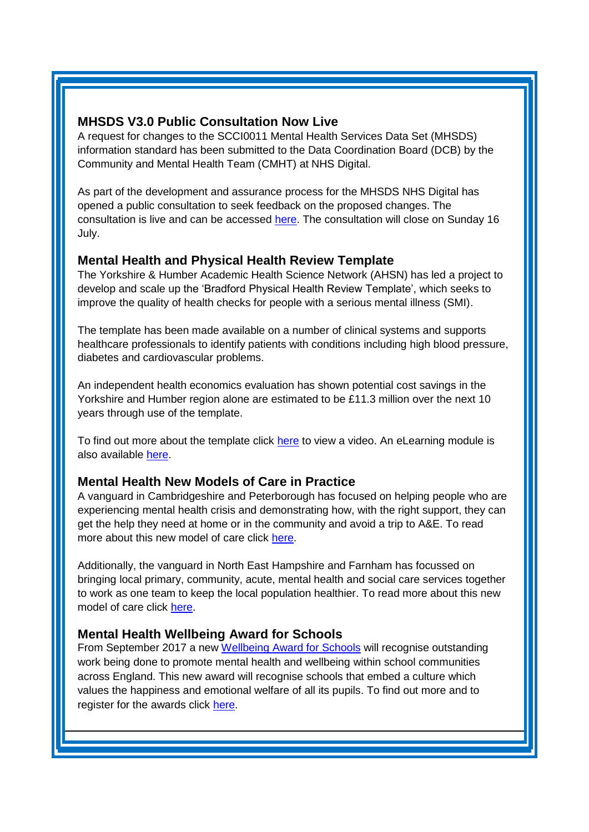## <span id="page-1-0"></span>**MHSDS V3.0 Public Consultation Now Live**

A request for changes to the SCCI0011 Mental Health Services Data Set (MHSDS) information standard has been submitted to the Data Coordination Board (DCB) by the Community and Mental Health Team (CMHT) at NHS Digital.

As part of the development and assurance process for the MHSDS NHS Digital has opened a public consultation to seek feedback on the proposed changes. The consultation is live and can be accessed [here.](https://nhs-digital.citizenspace.com/community-and-mental-health/mhsds-v3/?_cldee=YW5kcmV3LmNsYXJrZTE0QG5ocy5uZXQ%3d&recipientid=contact-5a0ca5c216e84dff9548c3b84b1bcb73-2022918d1d3f469b8d7438911f7b7bd0&esid=3d64a892-1a5b-e711-810b-5065f38bd5b1&urlid=0) The consultation will close on Sunday 16 July.

## <span id="page-1-1"></span>**Mental Health and Physical Health Review Template**

The Yorkshire & Humber Academic Health Science Network (AHSN) has led a project to develop and scale up the 'Bradford Physical Health Review Template', which seeks to improve the quality of health checks for people with a serious mental illness (SMI).

The template has been made available on a number of clinical systems and supports healthcare professionals to identify patients with conditions including high blood pressure, diabetes and cardiovascular problems.

An independent health economics evaluation has shown potential cost savings in the Yorkshire and Humber region alone are estimated to be £11.3 million over the next 10 years through use of the template.

To find out more about the template click [here](https://www.youtube.com/watch?v=hvPyrpbEqhQ) to view a video. An eLearning module is also available [here.](http://www.yhahsn.org.uk/new-elearning-package-launched/)

## <span id="page-1-2"></span>**Mental Health New Models of Care in Practice**

A vanguard in Cambridgeshire and Peterborough has focused on helping people who are experiencing mental health crisis and demonstrating how, with the right support, they can get the help they need at home or in the community and avoid a trip to A&E. To read more about this new model of care click [here.](http://www.nhsconfed.org/resources/2017/06/new-models-of-care-in-practice-cambridgeshire-and-peterborough-ccg)

Additionally, the vanguard in North East Hampshire and Farnham has focussed on bringing local primary, community, acute, mental health and social care services together to work as one team to keep the local population healthier. To read more about this new model of care click [here.](http://www.nhsconfed.org/resources/2017/06/new-models-of-care-in-practice-north-east-hampshire-and-farnham)

## <span id="page-1-3"></span>**Mental Health Wellbeing Award for Schools**

From September 2017 a new [Wellbeing Award for Schools](https://www.ncb.org.uk/news-opinion/news-highlights/award-scheme-recognises-schools-building-better-mental-health) will recognise outstanding work being done to promote mental health and wellbeing within school communities across England. This new award will recognise schools that embed a culture which values the happiness and emotional welfare of all its pupils. To find out more and to register for the awards click [here.](https://www.optimus-education.com/services/awards/wellbeing-award-schools)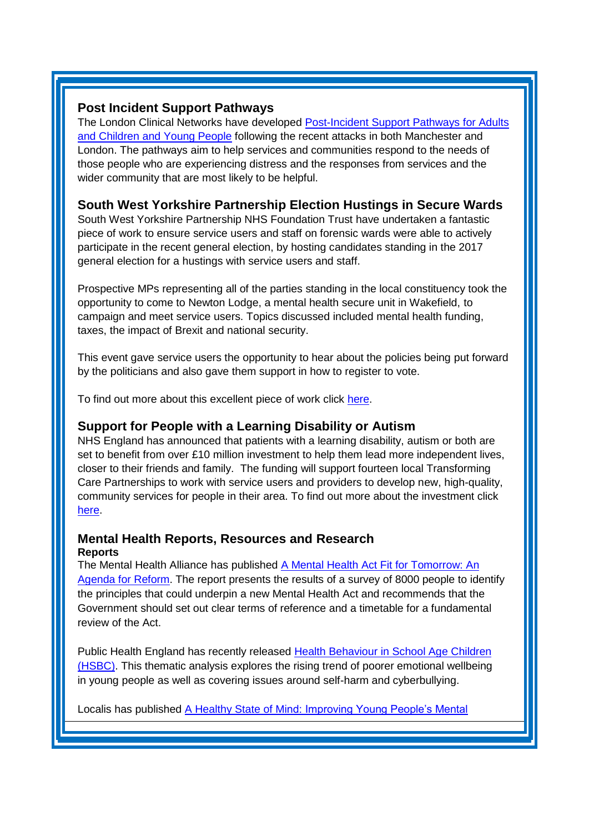## <span id="page-2-1"></span>**Post Incident Support Pathways**

The London Clinical Networks have developed Post-Incident Support Pathways for Adults [and Children and Young People](http://www.londonscn.nhs.uk/networks/mental-health-dementia-neuroscience/mental-health/responding-to-terrorist-attacks-pathways-and-guidance/) following the recent attacks in both Manchester and London. The pathways aim to help services and communities respond to the needs of those people who are experiencing distress and the responses from services and the wider community that are most likely to be helpful.

# <span id="page-2-0"></span>**South West Yorkshire Partnership Election Hustings in Secure Wards**

South West Yorkshire Partnership NHS Foundation Trust have undertaken a fantastic piece of work to ensure service users and staff on forensic wards were able to actively participate in the recent general election, by hosting candidates standing in the 2017 general election for a hustings with service users and staff.

Prospective MPs representing all of the parties standing in the local constituency took the opportunity to come to Newton Lodge, a mental health secure unit in Wakefield, to campaign and meet service users. Topics discussed included mental health funding, taxes, the impact of Brexit and national security.

This event gave service users the opportunity to hear about the policies being put forward by the politicians and also gave them support in how to register to vote.

To find out more about this excellent piece of work click [here.](http://www.southwestyorkshire.nhs.uk/news/articles/2017/06/general-election-comes-newton-lodge/?utm_content=buffer65dba&utm_medium=social&utm_source=twitter.com&utm_campaign=buffer)

# <span id="page-2-2"></span>**Support for People with a Learning Disability or Autism**

NHS England has announced that patients with a learning disability, autism or both are set to benefit from over £10 million investment to help them lead more independent lives, closer to their friends and family. The funding will support fourteen local Transforming Care Partnerships to work with service users and providers to develop new, high-quality, community services for people in their area. To find out more about the investment click [here.](https://www.england.nhs.uk/2017/06/nhs-england-to-invest-in-building-the-right-support-for-people-with-a-learning-disability/)

## <span id="page-2-3"></span>**Mental Health Reports, Resources and Research Reports**

The Mental Health Alliance has published [A Mental Health Act Fit for Tomorrow: An](https://www.rethink.org/get-involved/campaigns/mental-health-act-survey)  [Agenda for Reform.](https://www.rethink.org/get-involved/campaigns/mental-health-act-survey) The report presents the results of a survey of 8000 people to identify the principles that could underpin a new Mental Health Act and recommends that the Government should set out clear terms of reference and a timetable for a fundamental review of the Act.

Public Health England has recently released [Health Behaviour in School Age Children](https://www.gov.uk/government/publications/health-behaviour-in-school-age-children-hbsc-data-analysis)  [\(HSBC\).](https://www.gov.uk/government/publications/health-behaviour-in-school-age-children-hbsc-data-analysis) This thematic analysis explores the rising trend of poorer emotional wellbeing in young people as well as covering issues around self-harm and cyberbullying.

Localis has published [A Healthy State of Mind: Improving Young People's Mental](http://www.localis.org.uk/research/a-healthy-state-of-mind-improving-young-peoples-mental-fitness/)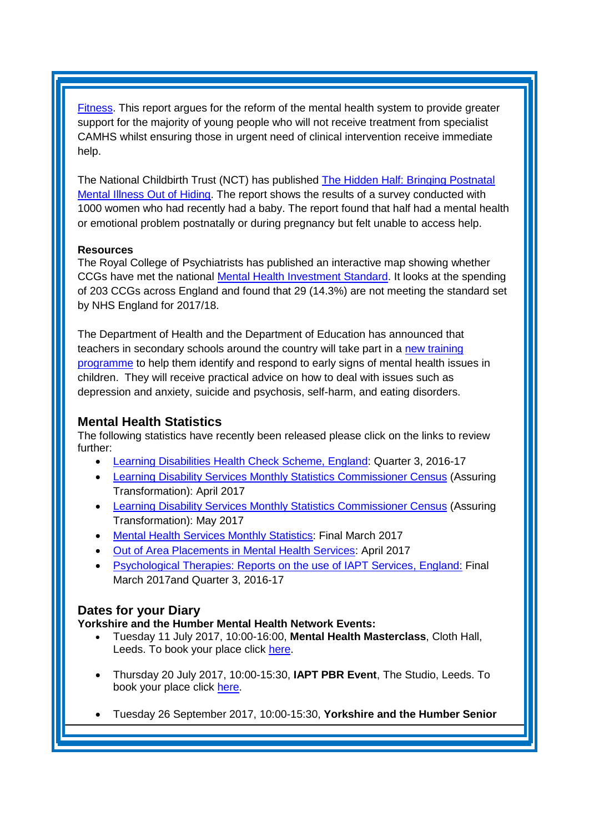[Fitness.](http://www.localis.org.uk/research/a-healthy-state-of-mind-improving-young-peoples-mental-fitness/) This report argues for the reform of the mental health system to provide greater support for the majority of young people who will not receive treatment from specialist CAMHS whilst ensuring those in urgent need of clinical intervention receive immediate help.

The National Childbirth Trust (NCT) has published [The Hidden Half: Bringing Postnatal](https://www.nct.org.uk/get-involved/campaigns/hidden-half)  [Mental Illness Out of Hiding.](https://www.nct.org.uk/get-involved/campaigns/hidden-half) The report shows the results of a survey conducted with 1000 women who had recently had a baby. The report found that half had a mental health or emotional problem postnatally or during pregnancy but felt unable to access help.

#### **Resources**

The Royal College of Psychiatrists has published an interactive map showing whether CCGs have met the national [Mental Health Investment Standard.](http://www.rcpsych.ac.uk/usefulresources/ccgsfailingtomeetnational.aspx) It looks at the spending of 203 CCGs across England and found that 29 (14.3%) are not meeting the standard set by NHS England for 2017/18.

The Department of Health and the Department of Education has announced that teachers in secondary schools around the country will take part in a [new training](https://www.gov.uk/government/news/secondary-school-staff-get-mental-health-first-aid-training)  [programme](https://www.gov.uk/government/news/secondary-school-staff-get-mental-health-first-aid-training) to help them identify and respond to early signs of mental health issues in children. They will receive practical advice on how to deal with issues such as depression and anxiety, suicide and psychosis, self-harm, and eating disorders.

## <span id="page-3-0"></span>**Mental Health Statistics**

The following statistics have recently been released please click on the links to review further:

- <span id="page-3-1"></span>[Learning Disabilities Health Check Scheme, England:](http://www.content.digital.nhs.uk/catalogue/PUB24110) Quarter 3, 2016-17
- [Learning Disability Services Monthly Statistics](http://www.content.digital.nhs.uk/catalogue/PUB24101) Commissioner Census (Assuring Transformation): April 2017
- [Learning Disability Services Monthly Statistics](http://digital.nhs.uk/catalogue/PUB30007) Commissioner Census (Assuring Transformation): May 2017
- [Mental Health Services Monthly Statistics:](http://digital.nhs.uk/catalogue/PUB30000) Final March 2017
- [Out of Area Placements in Mental Health Services:](http://www.content.digital.nhs.uk/catalogue/PUB24121) April 2017
- [Psychological Therapies: Reports on the use of IAPT Services,](http://www.digital.nhs.uk/catalogue/PUB30006) England: Final March 2017and Quarter 3, 2016-17

## **Dates for your Diary**

**Yorkshire and the Humber Mental Health Network Events:**

- Tuesday 11 July 2017, 10:00-16:00, **Mental Health Masterclass**, Cloth Hall, Leeds. To book your place click [here.](https://www.eventbrite.co.uk/e/mental-health-masterclass-tickets-34821818998)
- Thursday 20 July 2017, 10:00-15:30, **IAPT PBR Event**, The Studio, Leeds. To book your place click [here.](https://www.eventbrite.co.uk/e/iapt-payment-by-results-pbr-workshop-tickets-34967951083)
- Tuesday 26 September 2017, 10:00-15:30, **Yorkshire and the Humber Senior**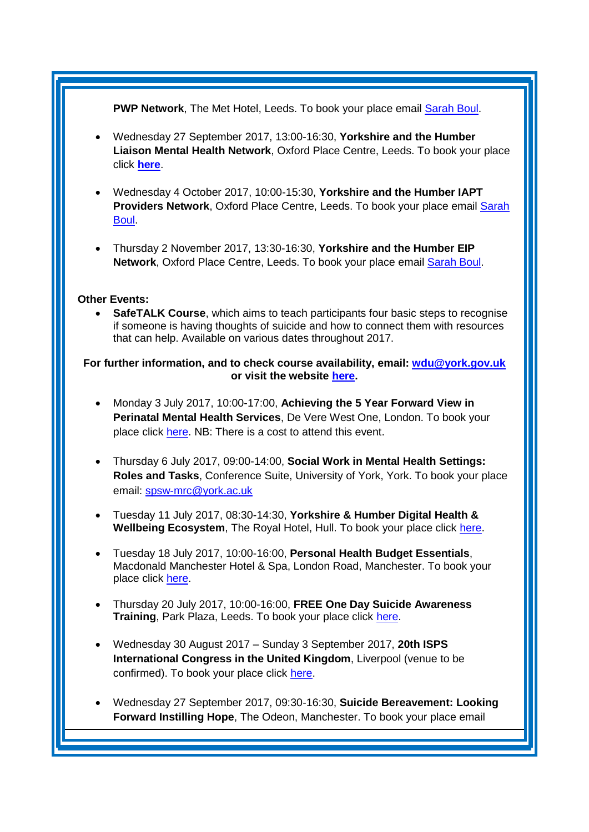#### PWP Network, The Met Hotel, Leeds. To book your place email **[Sarah Boul.](mailto:sarah.boul@nhs.net)**

- Wednesday 27 September 2017, 13:00-16:30, **Yorkshire and the Humber Liaison Mental Health Network**, Oxford Place Centre, Leeds. To book your place click **[here](https://www.eventbrite.co.uk/e/yorkshire-and-the-humber-liaison-mental-health-network-meeting-tickets-34572375907)**.
- Wednesday 4 October 2017, 10:00-15:30, **Yorkshire and the Humber IAPT Providers Network**, Oxford Place Centre, Leeds. To book your place email [Sarah](mailto:sarah.boul@nhs.net)  [Boul.](mailto:sarah.boul@nhs.net)
- Thursday 2 November 2017, 13:30-16:30, **Yorkshire and the Humber EIP**  Network, Oxford Place Centre, Leeds. To book your place email **Sarah Boul.**

#### **Other Events:**

**SafeTALK Course**, which aims to teach participants four basic steps to recognise if someone is having thoughts of suicide and how to connect them with resources that can help. Available on various dates throughout 2017.

#### **For further information, and to check course availability, email: [wdu@york.gov.uk](mailto:wdu@york.gov.uk) or visit the website [here.](http://www.yorkworkforcedevelopment.org.uk/)**

- Monday 3 July 2017, 10:00-17:00, **Achieving the 5 Year Forward View in Perinatal Mental Health Services**, De Vere West One, London. To book your place click [here.](http://www.healthcareconferencesuk.co.uk/event/1081) NB: There is a cost to attend this event.
- Thursday 6 July 2017, 09:00-14:00, **Social Work in Mental Health Settings: Roles and Tasks**, Conference Suite, University of York, York. To book your place email: [spsw-mrc@york.ac.uk](mailto:spsw-mrc@york.ac.uk)
- Tuesday 11 July 2017, 08:30-14:30, **Yorkshire & Humber Digital Health & Wellbeing Ecosystem**, The Royal Hotel, Hull. To book your place click [here.](https://www.eventbrite.co.uk/e/yorkshire-humber-digital-health-wellbeing-ecosystem-7th-meeting-tickets-34716741709)
- Tuesday 18 July 2017, 10:00-16:00, **Personal Health Budget Essentials**, Macdonald Manchester Hotel & Spa, London Road, Manchester. To book your place click [here.](https://www.events.england.nhs.uk/events/4585/personal-health-budgets-essentials-manchester)
- Thursday 20 July 2017, 10:00-16:00, **FREE One Day Suicide Awareness Training**, Park Plaza, Leeds. To book your place click [here.](https://www.eventbrite.co.uk/e/free-one-day-suicide-awareness-training-tickets-34663501466)
- Wednesday 30 August 2017 Sunday 3 September 2017, **20th ISPS International Congress in the United Kingdom**, Liverpool (venue to be confirmed). To book your place click [here.](http://www.isps2017uk.org/)
- Wednesday 27 September 2017, 09:30-16:30, **Suicide Bereavement: Looking Forward Instilling Hope**, The Odeon, Manchester. To book your place email